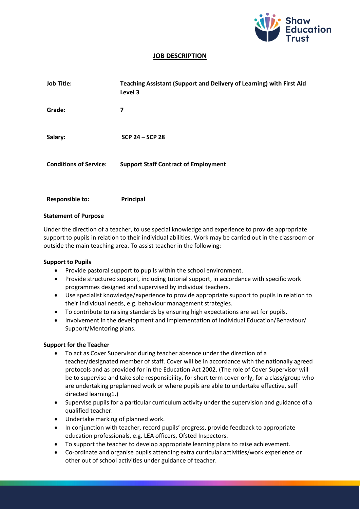

## **JOB DESCRIPTION**

| <b>Job Title:</b>             | Teaching Assistant (Support and Delivery of Learning) with First Aid<br>Level 3 |
|-------------------------------|---------------------------------------------------------------------------------|
| Grade:                        | 7                                                                               |
| Salary:                       | $SCP 24 - SCP 28$                                                               |
| <b>Conditions of Service:</b> | <b>Support Staff Contract of Employment</b>                                     |

**Responsible to: Principal**

#### **Statement of Purpose**

Under the direction of a teacher, to use special knowledge and experience to provide appropriate support to pupils in relation to their individual abilities. Work may be carried out in the classroom or outside the main teaching area. To assist teacher in the following:

#### **Support to Pupils**

- Provide pastoral support to pupils within the school environment.
- Provide structured support, including tutorial support, in accordance with specific work programmes designed and supervised by individual teachers.
- Use specialist knowledge/experience to provide appropriate support to pupils in relation to their individual needs, e.g. behaviour management strategies.
- To contribute to raising standards by ensuring high expectations are set for pupils.
- Involvement in the development and implementation of Individual Education/Behaviour/ Support/Mentoring plans.

#### **Support for the Teacher**

- To act as Cover Supervisor during teacher absence under the direction of a teacher/designated member of staff. Cover will be in accordance with the nationally agreed protocols and as provided for in the Education Act 2002. (The role of Cover Supervisor will be to supervise and take sole responsibility, for short term cover only, for a class/group who are undertaking preplanned work or where pupils are able to undertake effective, self directed learning1.)
- Supervise pupils for a particular curriculum activity under the supervision and guidance of a qualified teacher.
- Undertake marking of planned work.
- In conjunction with teacher, record pupils' progress, provide feedback to appropriate education professionals, e.g. LEA officers, Ofsted Inspectors.
- To support the teacher to develop appropriate learning plans to raise achievement.
- Co-ordinate and organise pupils attending extra curricular activities/work experience or other out of school activities under guidance of teacher.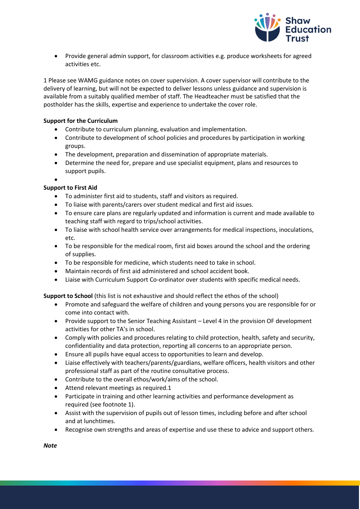

• Provide general admin support, for classroom activities e.g. produce worksheets for agreed activities etc.

1 Please see WAMG guidance notes on cover supervision. A cover supervisor will contribute to the delivery of learning, but will not be expected to deliver lessons unless guidance and supervision is available from a suitably qualified member of staff. The Headteacher must be satisfied that the postholder has the skills, expertise and experience to undertake the cover role.

### **Support for the Curriculum**

- Contribute to curriculum planning, evaluation and implementation.
- Contribute to development of school policies and procedures by participation in working groups.
- The development, preparation and dissemination of appropriate materials.
- Determine the need for, prepare and use specialist equipment, plans and resources to support pupils.

#### • **Support to First Aid**

- To administer first aid to students, staff and visitors as required.
- To liaise with parents/carers over student medical and first aid issues.
- To ensure care plans are regularly updated and information is current and made available to teaching staff with regard to trips/school activities.
- To liaise with school health service over arrangements for medical inspections, inoculations, etc.
- To be responsible for the medical room, first aid boxes around the school and the ordering of supplies.
- To be responsible for medicine, which students need to take in school.
- Maintain records of first aid administered and school accident book.
- Liaise with Curriculum Support Co-ordinator over students with specific medical needs.

**Support to School** (this list is not exhaustive and should reflect the ethos of the school)

- Promote and safeguard the welfare of children and young persons you are responsible for or come into contact with.
- Provide support to the Senior Teaching Assistant Level 4 in the provision OF development activities for other TA's in school.
- Comply with policies and procedures relating to child protection, health, safety and security, confidentiality and data protection, reporting all concerns to an appropriate person.
- Ensure all pupils have equal access to opportunities to learn and develop.
- Liaise effectively with teachers/parents/guardians, welfare officers, health visitors and other professional staff as part of the routine consultative process.
- Contribute to the overall ethos/work/aims of the school.
- Attend relevant meetings as required.1
- Participate in training and other learning activities and performance development as required (see footnote 1).
- Assist with the supervision of pupils out of lesson times, including before and after school and at lunchtimes.
- Recognise own strengths and areas of expertise and use these to advice and support others.

*Note*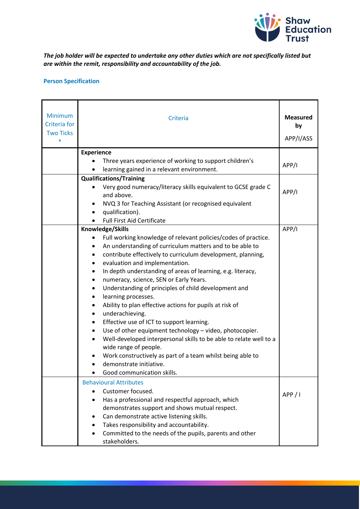

# *The job holder will be expected to undertake any other duties which are not specifically listed but are within the remit, responsibility and accountability of the job.*

# **Person Specification**

| <b>Minimum</b><br>Criteria for<br><b>Two Ticks</b><br>$\ast$ | Criteria                                                                                                                                                                                                                                                                                                                                                                                                                                                                                                                                                                                                                                                                                                                                                                                                                                                                                                                                                | <b>Measured</b><br>by<br>APP/I/ASS |
|--------------------------------------------------------------|---------------------------------------------------------------------------------------------------------------------------------------------------------------------------------------------------------------------------------------------------------------------------------------------------------------------------------------------------------------------------------------------------------------------------------------------------------------------------------------------------------------------------------------------------------------------------------------------------------------------------------------------------------------------------------------------------------------------------------------------------------------------------------------------------------------------------------------------------------------------------------------------------------------------------------------------------------|------------------------------------|
|                                                              | <b>Experience</b><br>Three years experience of working to support children's<br>learning gained in a relevant environment.                                                                                                                                                                                                                                                                                                                                                                                                                                                                                                                                                                                                                                                                                                                                                                                                                              | APP/I                              |
|                                                              | <b>Qualifications/Training</b><br>Very good numeracy/literacy skills equivalent to GCSE grade C<br>and above.<br>NVQ 3 for Teaching Assistant (or recognised equivalent<br>qualification).<br><b>Full First Aid Certificate</b>                                                                                                                                                                                                                                                                                                                                                                                                                                                                                                                                                                                                                                                                                                                         | APP/I                              |
|                                                              | Knowledge/Skills<br>Full working knowledge of relevant policies/codes of practice.<br>٠<br>An understanding of curriculum matters and to be able to<br>٠<br>contribute effectively to curriculum development, planning,<br>$\bullet$<br>evaluation and implementation.<br>٠<br>In depth understanding of areas of learning, e.g. literacy,<br>٠<br>numeracy, science, SEN or Early Years.<br>$\bullet$<br>Understanding of principles of child development and<br>٠<br>learning processes.<br>$\bullet$<br>Ability to plan effective actions for pupils at risk of<br>$\bullet$<br>underachieving.<br>٠<br>Effective use of ICT to support learning.<br>٠<br>Use of other equipment technology - video, photocopier.<br>$\bullet$<br>Well-developed interpersonal skills to be able to relate well to a<br>wide range of people.<br>Work constructively as part of a team whilst being able to<br>demonstrate initiative.<br>Good communication skills. | APP/I                              |
|                                                              | <b>Behavioural Attributes</b><br>Customer focused.<br>Has a professional and respectful approach, which<br>demonstrates support and shows mutual respect.<br>Can demonstrate active listening skills.<br>Takes responsibility and accountability.<br>Committed to the needs of the pupils, parents and other<br>stakeholders.                                                                                                                                                                                                                                                                                                                                                                                                                                                                                                                                                                                                                           | APP / I                            |